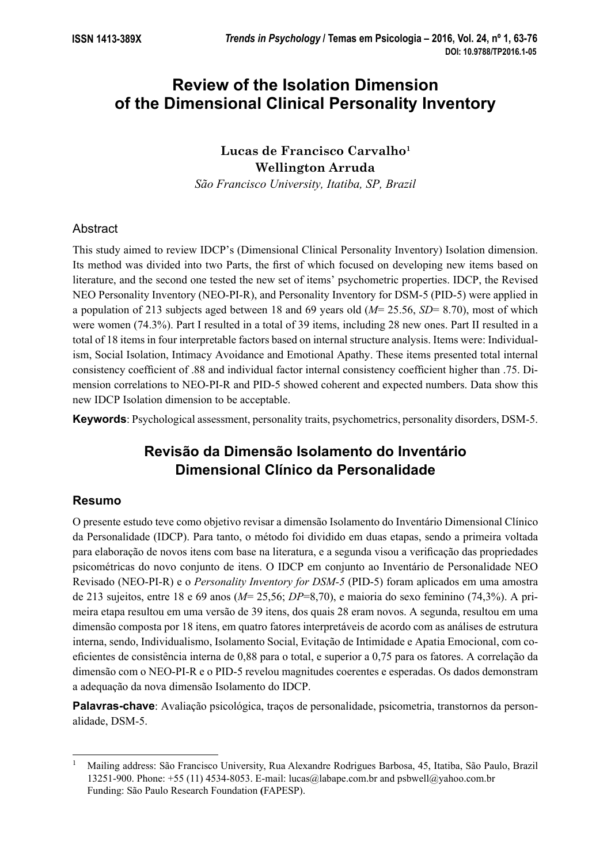# **Review of the Isolation Dimension of the Dimensional Clinical Personality Inventory**

# Lucas de Francisco Carvalho<sup>1</sup> **Wellington Arruda**

*São Francisco University, Itatiba, SP, Brazil*

# Abstract

This study aimed to review IDCP's (Dimensional Clinical Personality Inventory) Isolation dimension. Its method was divided into two Parts, the first of which focused on developing new items based on literature, and the second one tested the new set of items' psychometric properties. IDCP, the Revised NEO Personality Inventory (NEO-PI-R), and Personality Inventory for DSM-5 (PID-5) were applied in a population of 213 subjects aged between 18 and 69 years old (*M*= 25.56, *SD*= 8.70), most of which were women (74.3%). Part I resulted in a total of 39 items, including 28 new ones. Part II resulted in a total of 18 items in four interpretable factors based on internal structure analysis. Items were: Individualism, Social Isolation, Intimacy Avoidance and Emotional Apathy. These items presented total internal consistency coefficient of .88 and individual factor internal consistency coefficient higher than .75. Dimension correlations to NEO-PI-R and PID-5 showed coherent and expected numbers. Data show this new IDCP Isolation dimension to be acceptable.

**Keywords**: Psychological assessment, personality traits, psychometrics, personality disorders, DSM-5.

# **Revisão da Dimensão Isolamento do Inventário Dimensional Clínico da Personalidade**

# **Resumo**

O presente estudo teve como objetivo revisar a dimensão Isolamento do Inventário Dimensional Clínico da Personalidade (IDCP). Para tanto, o método foi dividido em duas etapas, sendo a primeira voltada para elaboração de novos itens com base na literatura, e a segunda visou a verifi cação das propriedades psicométricas do novo conjunto de itens. O IDCP em conjunto ao Inventário de Personalidade NEO Revisado (NEO-PI-R) e o *Personality Inventory for DSM-5* (PID-5) foram aplicados em uma amostra de 213 sujeitos, entre 18 e 69 anos (*M*= 25,56; *DP*=8,70), e maioria do sexo feminino (74,3%). A primeira etapa resultou em uma versão de 39 itens, dos quais 28 eram novos. A segunda, resultou em uma dimensão composta por 18 itens, em quatro fatores interpretáveis de acordo com as análises de estrutura interna, sendo, Individualismo, Isolamento Social, Evitação de Intimidade e Apatia Emocional, com coefi cientes de consistência interna de 0,88 para o total, e superior a 0,75 para os fatores. A correlação da dimensão com o NEO-PI-R e o PID-5 revelou magnitudes coerentes e esperadas. Os dados demonstram a adequação da nova dimensão Isolamento do IDCP.

**Palavras-chave**: Avaliação psicológica, traços de personalidade, psicometria, transtornos da personalidade, DSM-5.

<sup>1</sup> Mailing address: São Francisco University, Rua Alexandre Rodrigues Barbosa, 45, Itatiba, São Paulo, Brazil 13251-900. Phone: +55 (11) 4534-8053. E-mail: lucas@labape.com.br and psbwell@yahoo.com.br Funding: São Paulo Research Foundation **(**FAPESP).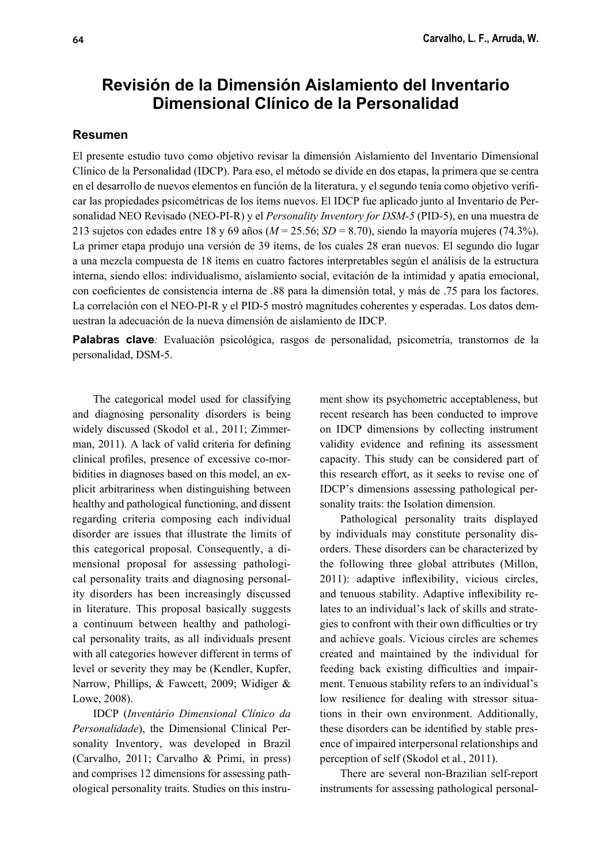# **Revisión de la Dimensión Aislamiento del Inventario Dimensional Clínico de la Personalidad**

## **Resumen**

El presente estudio tuvo como objetivo revisar la dimensión Aislamiento del Inventario Dimensional Clínico de la Personalidad (IDCP). Para eso, el método se divide en dos etapas, la primera que se centra en el desarrollo de nuevos elementos en función de la literatura, y el segundo tenía como objetivo verifi car las propiedades psicométricas de los ítems nuevos. El IDCP fue aplicado junto al Inventario de Personalidad NEO Revisado (NEO-PI-R) y el *Personality Inventory for DSM-5* (PID-5), en una muestra de 213 sujetos con edades entre 18 y 69 años (*M* = 25.56; *SD* = 8.70), siendo la mayoría mujeres (74.3%). La primer etapa produjo una versión de 39 ítems, de los cuales 28 eran nuevos. El segundo dio lugar a una mezcla compuesta de 18 ítems en cuatro factores interpretables según el análisis de la estructura interna, siendo ellos: individualismo, aislamiento social, evitación de la intimidad y apatía emocional, con coeficientes de consistencia interna de .88 para la dimensión total, y más de .75 para los factores. La correlación con el NEO-PI-R y el PID-5 mostró magnitudes coherentes y esperadas. Los datos demuestran la adecuación de la nueva dimensión de aislamiento de IDCP.

**Palabras clave***:* Evaluación psicológica, rasgos de personalidad, psicometría, transtornos de la personalidad, DSM-5.

The categorical model used for classifying and diagnosing personality disorders is being widely discussed (Skodol et al*.*, 2011; Zimmerman,  $2011$ ). A lack of valid criteria for defining clinical profiles, presence of excessive co-morbidities in diagnoses based on this model, an explicit arbitrariness when distinguishing between healthy and pathological functioning, and dissent regarding criteria composing each individual disorder are issues that illustrate the limits of this categorical proposal. Consequently, a dimensional proposal for assessing pathological personality traits and diagnosing personality disorders has been increasingly discussed in literature. This proposal basically suggests a continuum between healthy and pathological personality traits, as all individuals present with all categories however different in terms of level or severity they may be (Kendler, Kupfer, Narrow, Phillips, & Fawcett, 2009; Widiger & Lowe, 2008).

IDCP (*Inventário Dimensional Clínico da Personalidade*), the Dimensional Clinical Personality Inventory, was developed in Brazil (Carvalho, 2011; Carvalho & Primi, in press) and comprises 12 dimensions for assessing pathological personality traits. Studies on this instrument show its psychometric acceptableness, but recent research has been conducted to improve on IDCP dimensions by collecting instrument validity evidence and refining its assessment capacity. This study can be considered part of this research effort, as it seeks to revise one of IDCP's dimensions assessing pathological personality traits: the Isolation dimension.

Pathological personality traits displayed by individuals may constitute personality disorders. These disorders can be characterized by the following three global attributes (Millon,  $2011$ ): adaptive inflexibility, vicious circles, and tenuous stability. Adaptive inflexibility relates to an individual's lack of skills and strategies to confront with their own difficulties or try and achieve goals. Vicious circles are schemes created and maintained by the individual for feeding back existing difficulties and impairment. Tenuous stability refers to an individual's low resilience for dealing with stressor situations in their own environment. Additionally, these disorders can be identified by stable presence of impaired interpersonal relationships and perception of self (Skodol et al*.*, 2011).

There are several non-Brazilian self-report instruments for assessing pathological personal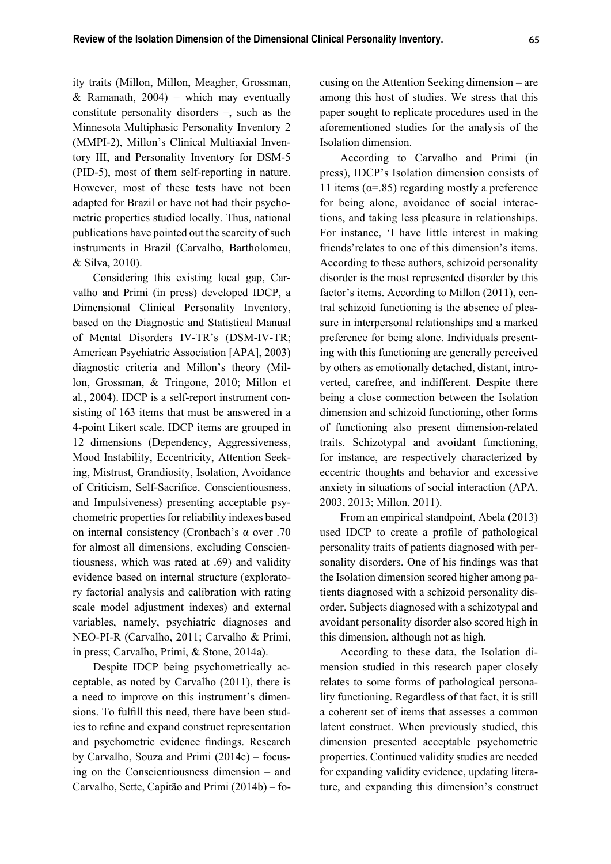ity traits (Millon, Millon, Meagher, Grossman, & Ramanath,  $2004$ ) – which may eventually constitute personality disorders –, such as the Minnesota Multiphasic Personality Inventory 2 (MMPI-2), Millon's Clinical Multiaxial Inventory III, and Personality Inventory for DSM-5 (PID-5), most of them self-reporting in nature. However, most of these tests have not been adapted for Brazil or have not had their psychometric properties studied locally. Thus, national publications have pointed out the scarcity of such instruments in Brazil (Carvalho, Bartholomeu, & Silva, 2010).

Considering this existing local gap, Carvalho and Primi (in press) developed IDCP, a Dimensional Clinical Personality Inventory, based on the Diagnostic and Statistical Manual of Mental Disorders IV-TR's (DSM-IV-TR; American Psychiatric Association [APA], 2003) diagnostic criteria and Millon's theory (Millon, Grossman, & Tringone, 2010; Millon et al*.*, 2004). IDCP is a self-report instrument consisting of 163 items that must be answered in a 4-point Likert scale. IDCP items are grouped in 12 dimensions (Dependency, Aggressiveness, Mood Instability, Eccentricity, Attention Seeking, Mistrust, Grandiosity, Isolation, Avoidance of Criticism, Self-Sacrifice, Conscientiousness, and Impulsiveness) presenting acceptable psychometric properties for reliability indexes based on internal consistency (Cronbach's α over .70 for almost all dimensions, excluding Conscientiousness, which was rated at .69) and validity evidence based on internal structure (exploratory factorial analysis and calibration with rating scale model adjustment indexes) and external variables, namely, psychiatric diagnoses and NEO-PI-R (Carvalho, 2011; Carvalho & Primi, in press; Carvalho, Primi, & Stone, 2014a).

Despite IDCP being psychometrically acceptable, as noted by Carvalho (2011), there is a need to improve on this instrument's dimensions. To fulfill this need, there have been studies to refine and expand construct representation and psychometric evidence findings. Research by Carvalho, Souza and Primi (2014c) – focusing on the Conscientiousness dimension – and Carvalho, Sette, Capitão and Primi (2014b) – focusing on the Attention Seeking dimension – are among this host of studies. We stress that this paper sought to replicate procedures used in the aforementioned studies for the analysis of the Isolation dimension.

According to Carvalho and Primi (in press), IDCP's Isolation dimension consists of 11 items ( $\alpha$ =.85) regarding mostly a preference for being alone, avoidance of social interactions, and taking less pleasure in relationships. For instance, 'I have little interest in making friends'relates to one of this dimension's items. According to these authors, schizoid personality disorder is the most represented disorder by this factor's items. According to Millon (2011), central schizoid functioning is the absence of pleasure in interpersonal relationships and a marked preference for being alone. Individuals presenting with this functioning are generally perceived by others as emotionally detached, distant, introverted, carefree, and indifferent. Despite there being a close connection between the Isolation dimension and schizoid functioning, other forms of functioning also present dimension-related traits. Schizotypal and avoidant functioning, for instance, are respectively characterized by eccentric thoughts and behavior and excessive anxiety in situations of social interaction (APA, 2003, 2013; Millon, 2011).

From an empirical standpoint, Abela (2013) used IDCP to create a profile of pathological personality traits of patients diagnosed with personality disorders. One of his findings was that the Isolation dimension scored higher among patients diagnosed with a schizoid personality disorder. Subjects diagnosed with a schizotypal and avoidant personality disorder also scored high in this dimension, although not as high.

According to these data, the Isolation dimension studied in this research paper closely relates to some forms of pathological personality functioning. Regardless of that fact, it is still a coherent set of items that assesses a common latent construct. When previously studied, this dimension presented acceptable psychometric properties. Continued validity studies are needed for expanding validity evidence, updating literature, and expanding this dimension's construct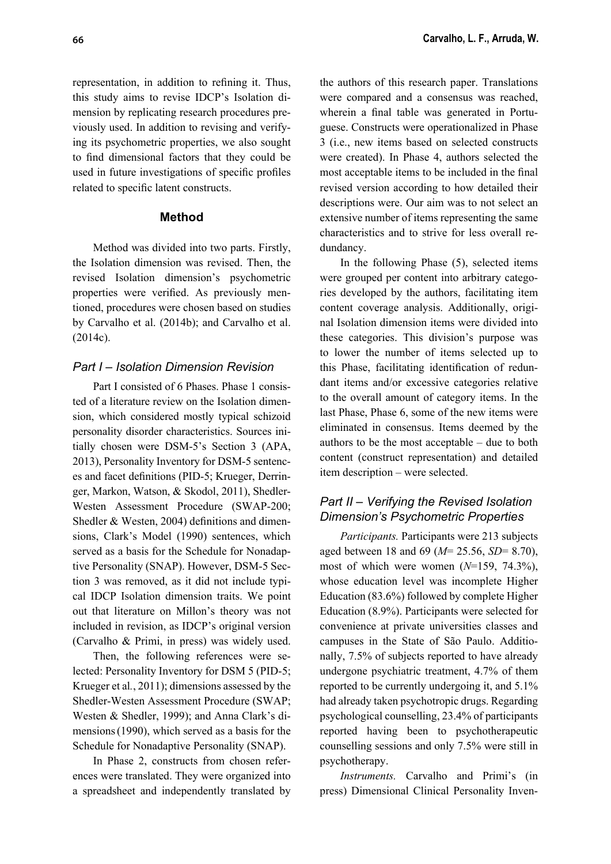representation, in addition to refining it. Thus, this study aims to revise IDCP's Isolation dimension by replicating research procedures previously used. In addition to revising and verifying its psychometric properties, we also sought to find dimensional factors that they could be used in future investigations of specific profiles related to specific latent constructs.

### **Method**

Method was divided into two parts. Firstly, the Isolation dimension was revised. Then, the revised Isolation dimension's psychometric properties were verified. As previously mentioned, procedures were chosen based on studies by Carvalho et al. (2014b); and Carvalho et al. (2014c).

## *Part I – Isolation Dimension Revision*

Part I consisted of 6 Phases. Phase 1 consisted of a literature review on the Isolation dimension, which considered mostly typical schizoid personality disorder characteristics. Sources initially chosen were DSM-5's Section 3 (APA, 2013), Personality Inventory for DSM-5 sentences and facet definitions (PID-5; Krueger, Derringer, Markon, Watson, & Skodol, 2011), Shedler-Westen Assessment Procedure (SWAP-200; Shedler  $&$  Westen, 2004) definitions and dimensions, Clark's Model (1990) sentences, which served as a basis for the Schedule for Nonadaptive Personality (SNAP). However, DSM-5 Section 3 was removed, as it did not include typical IDCP Isolation dimension traits. We point out that literature on Millon's theory was not included in revision, as IDCP's original version (Carvalho & Primi, in press) was widely used.

Then, the following references were selected: Personality Inventory for DSM 5 (PID-5; Krueger et al*.*, 2011); dimensions assessed by the Shedler-Westen Assessment Procedure (SWAP; Westen & Shedler, 1999); and Anna Clark's dimensions(1990), which served as a basis for the Schedule for Nonadaptive Personality (SNAP).

In Phase 2, constructs from chosen references were translated. They were organized into a spreadsheet and independently translated by the authors of this research paper. Translations were compared and a consensus was reached, wherein a final table was generated in Portuguese. Constructs were operationalized in Phase 3 (i.e., new items based on selected constructs were created). In Phase 4, authors selected the most acceptable items to be included in the final revised version according to how detailed their descriptions were. Our aim was to not select an extensive number of items representing the same characteristics and to strive for less overall redundancy.

In the following Phase (5), selected items were grouped per content into arbitrary categories developed by the authors, facilitating item content coverage analysis. Additionally, original Isolation dimension items were divided into these categories. This division's purpose was to lower the number of items selected up to this Phase, facilitating identification of redundant items and/or excessive categories relative to the overall amount of category items. In the last Phase, Phase 6, some of the new items were eliminated in consensus. Items deemed by the authors to be the most acceptable – due to both content (construct representation) and detailed item description – were selected.

# *Part II – Verifying the Revised Isolation Dimension's Psychometric Properties*

*Participants.* Participants were 213 subjects aged between 18 and 69 (*M*= 25.56, *SD*= 8.70), most of which were women (*N*=159, 74.3%), whose education level was incomplete Higher Education (83.6%) followed by complete Higher Education (8.9%). Participants were selected for convenience at private universities classes and campuses in the State of São Paulo. Additionally, 7.5% of subjects reported to have already undergone psychiatric treatment, 4.7% of them reported to be currently undergoing it, and 5.1% had already taken psychotropic drugs. Regarding psychological counselling, 23.4% of participants reported having been to psychotherapeutic counselling sessions and only 7.5% were still in psychotherapy.

*Instruments.* Carvalho and Primi's (in press) Dimensional Clinical Personality Inven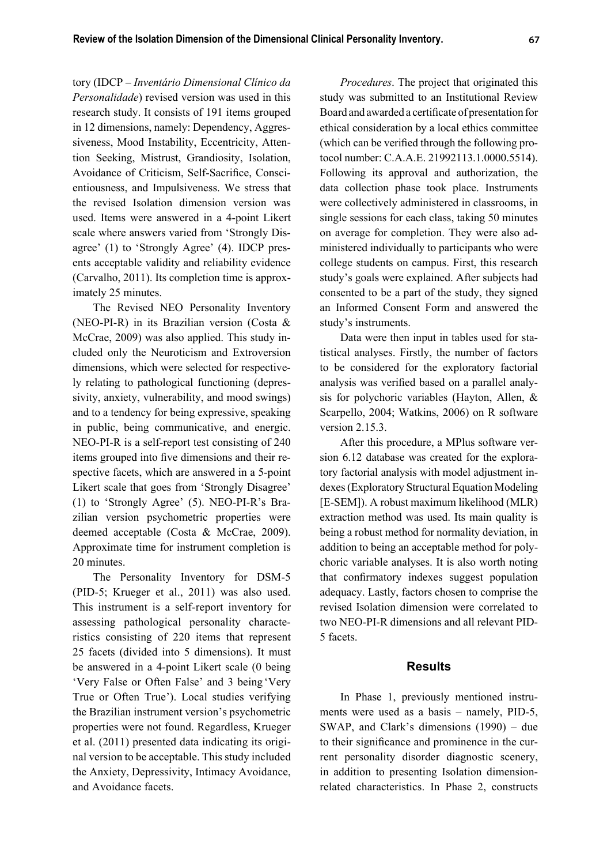tory (IDCP – *Inventário Dimensional Clínico da Personalidade*) revised version was used in this research study. It consists of 191 items grouped in 12 dimensions, namely: Dependency, Aggressiveness, Mood Instability, Eccentricity, Attention Seeking, Mistrust, Grandiosity, Isolation, Avoidance of Criticism, Self-Sacrifice, Conscientiousness, and Impulsiveness. We stress that the revised Isolation dimension version was used. Items were answered in a 4-point Likert scale where answers varied from 'Strongly Disagree' (1) to 'Strongly Agree' (4). IDCP presents acceptable validity and reliability evidence (Carvalho, 2011). Its completion time is approximately 25 minutes.

The Revised NEO Personality Inventory (NEO-PI-R) in its Brazilian version (Costa & McCrae, 2009) was also applied. This study included only the Neuroticism and Extroversion dimensions, which were selected for respectively relating to pathological functioning (depressivity, anxiety, vulnerability, and mood swings) and to a tendency for being expressive, speaking in public, being communicative, and energic. NEO-PI-R is a self-report test consisting of 240 items grouped into five dimensions and their respective facets, which are answered in a 5-point Likert scale that goes from 'Strongly Disagree' (1) to 'Strongly Agree' (5). NEO-PI-R's Brazilian version psychometric properties were deemed acceptable (Costa & McCrae, 2009). Approximate time for instrument completion is 20 minutes.

The Personality Inventory for DSM-5 (PID-5; Krueger et al., 2011) was also used. This instrument is a self-report inventory for assessing pathological personality characteristics consisting of 220 items that represent 25 facets (divided into 5 dimensions). It must be answered in a 4-point Likert scale (0 being 'Very False or Often False' and 3 being 'Very True or Often True'). Local studies verifying the Brazilian instrument version's psychometric properties were not found. Regardless, Krueger et al. (2011) presented data indicating its original version to be acceptable. This study included the Anxiety, Depressivity, Intimacy Avoidance, and Avoidance facets.

*Procedures*. The project that originated this study was submitted to an Institutional Review Board and awarded a certificate of presentation for ethical consideration by a local ethics committee (which can be verified through the following protocol number: C.A.A.E. 21992113.1.0000.5514). Following its approval and authorization, the data collection phase took place. Instruments were collectively administered in classrooms, in single sessions for each class, taking 50 minutes on average for completion. They were also administered individually to participants who were college students on campus. First, this research study's goals were explained. After subjects had consented to be a part of the study, they signed an Informed Consent Form and answered the study's instruments.

Data were then input in tables used for statistical analyses. Firstly, the number of factors to be considered for the exploratory factorial analysis was verified based on a parallel analysis for polychoric variables (Hayton, Allen, & Scarpello, 2004; Watkins, 2006) on R software version 2.15.3.

After this procedure, a MPlus software version 6.12 database was created for the exploratory factorial analysis with model adjustment indexes (Exploratory Structural Equation Modeling [E-SEM]). A robust maximum likelihood (MLR) extraction method was used. Its main quality is being a robust method for normality deviation, in addition to being an acceptable method for polychoric variable analyses. It is also worth noting that confirmatory indexes suggest population adequacy. Lastly, factors chosen to comprise the revised Isolation dimension were correlated to two NEO-PI-R dimensions and all relevant PID-5 facets.

### **Results**

In Phase 1, previously mentioned instruments were used as a basis – namely, PID-5, SWAP, and Clark's dimensions (1990) – due to their significance and prominence in the current personality disorder diagnostic scenery, in addition to presenting Isolation dimensionrelated characteristics. In Phase 2, constructs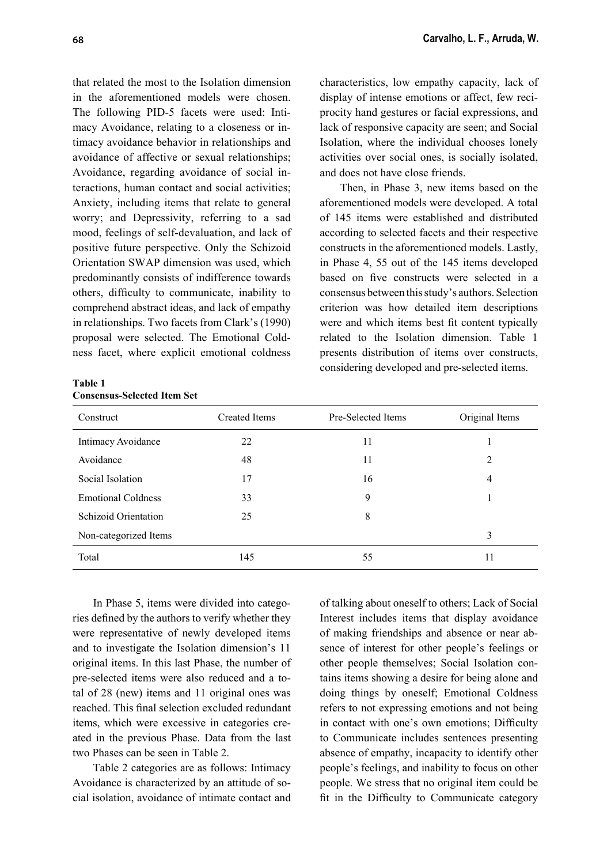**68 Carvalho, L. F., Arruda, W.**

that related the most to the Isolation dimension in the aforementioned models were chosen. The following PID-5 facets were used: Intimacy Avoidance, relating to a closeness or intimacy avoidance behavior in relationships and avoidance of affective or sexual relationships; Avoidance, regarding avoidance of social interactions, human contact and social activities; Anxiety, including items that relate to general worry; and Depressivity, referring to a sad mood, feelings of self-devaluation, and lack of positive future perspective. Only the Schizoid Orientation SWAP dimension was used, which predominantly consists of indifference towards others, difficulty to communicate, inability to comprehend abstract ideas, and lack of empathy in relationships. Two facets from Clark's (1990) proposal were selected. The Emotional Coldness facet, where explicit emotional coldness

**Table 1 Consensus-Selected Item Set**

characteristics, low empathy capacity, lack of display of intense emotions or affect, few reciprocity hand gestures or facial expressions, and lack of responsive capacity are seen; and Social Isolation, where the individual chooses lonely activities over social ones, is socially isolated, and does not have close friends.

Then, in Phase 3, new items based on the aforementioned models were developed. A total of 145 items were established and distributed according to selected facets and their respective constructs in the aforementioned models. Lastly, in Phase 4, 55 out of the 145 items developed based on five constructs were selected in a consensus between this study's authors. Selection criterion was how detailed item descriptions were and which items best fit content typically related to the Isolation dimension. Table 1 presents distribution of items over constructs, considering developed and pre-selected items.

| Construct                   | <b>Created Items</b> | Pre-Selected Items | Original Items |  |
|-----------------------------|----------------------|--------------------|----------------|--|
| Intimacy Avoidance          | 22                   | 11                 |                |  |
| Avoidance                   | 48                   | 11                 | 2              |  |
| Social Isolation            | 17                   | 16                 | 4              |  |
| <b>Emotional Coldness</b>   | 33                   | 9                  |                |  |
| <b>Schizoid Orientation</b> | 25                   | 8                  |                |  |
| Non-categorized Items       |                      |                    | 3              |  |
| Total                       | 145                  | 55                 | 11             |  |

In Phase 5, items were divided into categories defined by the authors to verify whether they were representative of newly developed items and to investigate the Isolation dimension's 11 original items. In this last Phase, the number of pre-selected items were also reduced and a total of 28 (new) items and 11 original ones was reached. This final selection excluded redundant items, which were excessive in categories created in the previous Phase. Data from the last two Phases can be seen in Table 2.

Table 2 categories are as follows: Intimacy Avoidance is characterized by an attitude of social isolation, avoidance of intimate contact and of talking about oneself to others; Lack of Social Interest includes items that display avoidance of making friendships and absence or near absence of interest for other people's feelings or other people themselves; Social Isolation contains items showing a desire for being alone and doing things by oneself; Emotional Coldness refers to not expressing emotions and not being in contact with one's own emotions; Difficulty to Communicate includes sentences presenting absence of empathy, incapacity to identify other people's feelings, and inability to focus on other people. We stress that no original item could be fit in the Difficulty to Communicate category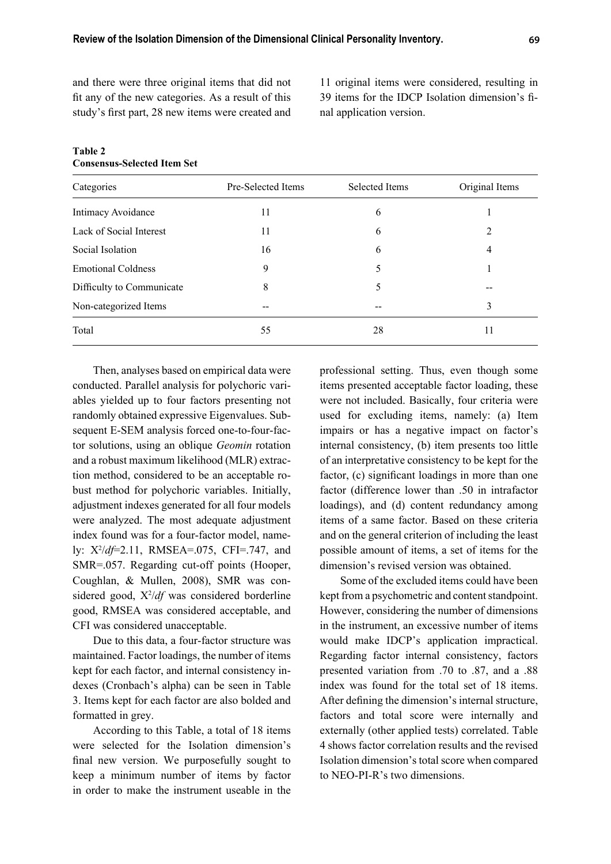and there were three original items that did not fit any of the new categories. As a result of this study's first part, 28 new items were created and

11 original items were considered, resulting in 39 items for the IDCP Isolation dimension's final application version.

| Categories                | Pre-Selected Items | Selected Items | Original Items |
|---------------------------|--------------------|----------------|----------------|
| Intimacy Avoidance        | 11                 | 6              |                |
| Lack of Social Interest   | 11                 | 6              | 2              |
| Social Isolation          | 16                 | 6              | 4              |
| <b>Emotional Coldness</b> | 9                  | 5              |                |
| Difficulty to Communicate | 8                  | 5              |                |
| Non-categorized Items     | --                 |                | 3              |
| Total                     | 55                 | 28             | 11             |

#### **Table 2 Consensus-Selected Item Set**

Then, analyses based on empirical data were conducted. Parallel analysis for polychoric variables yielded up to four factors presenting not randomly obtained expressive Eigenvalues. Subsequent E-SEM analysis forced one-to-four-factor solutions, using an oblique *Geomin* rotation and a robust maximum likelihood (MLR) extraction method, considered to be an acceptable robust method for polychoric variables. Initially, adjustment indexes generated for all four models were analyzed. The most adequate adjustment index found was for a four-factor model, namely:  $X^2/df=2.11$ , RMSEA=.075, CFI=.747, and SMR=.057. Regarding cut-off points (Hooper, Coughlan, & Mullen, 2008), SMR was considered good,  $X^2/df$  was considered borderline good, RMSEA was considered acceptable, and CFI was considered unacceptable.

Due to this data, a four-factor structure was maintained. Factor loadings, the number of items kept for each factor, and internal consistency indexes (Cronbach's alpha) can be seen in Table 3. Items kept for each factor are also bolded and formatted in grey.

According to this Table, a total of 18 items were selected for the Isolation dimension's final new version. We purposefully sought to keep a minimum number of items by factor in order to make the instrument useable in the

professional setting. Thus, even though some items presented acceptable factor loading, these were not included. Basically, four criteria were used for excluding items, namely: (a) Item impairs or has a negative impact on factor's internal consistency, (b) item presents too little of an interpretative consistency to be kept for the factor, (c) significant loadings in more than one factor (difference lower than .50 in intrafactor loadings), and (d) content redundancy among items of a same factor. Based on these criteria and on the general criterion of including the least possible amount of items, a set of items for the dimension's revised version was obtained.

Some of the excluded items could have been kept from a psychometric and content standpoint. However, considering the number of dimensions in the instrument, an excessive number of items would make IDCP's application impractical. Regarding factor internal consistency, factors presented variation from .70 to .87, and a .88 index was found for the total set of 18 items. After defining the dimension's internal structure, factors and total score were internally and externally (other applied tests) correlated. Table 4 shows factor correlation results and the revised Isolation dimension's total score when compared to NEO-PI-R's two dimensions.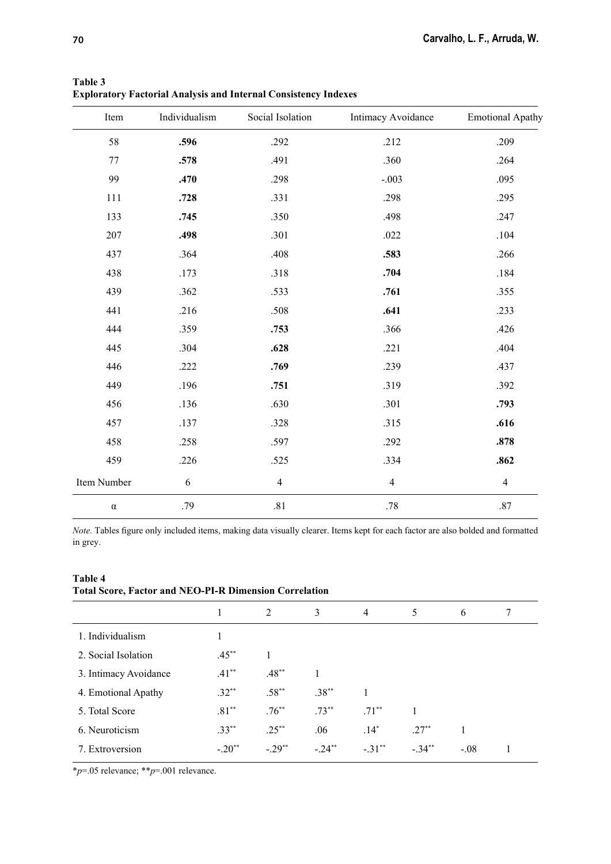| Item        | Individualism | Social Isolation | Intimacy Avoidance | <b>Emotional Apathy</b> |
|-------------|---------------|------------------|--------------------|-------------------------|
| 58          | .596          | .292             | .212               | .209                    |
| 77          | .578          | .491             | .360               | .264                    |
| 99          | .470          | .298             | $-.003$            | .095                    |
| 111         | .728          | .331             | .298               | .295                    |
| 133         | .745          | .350             | .498               | .247                    |
| 207         | .498          | .301             | .022               | .104                    |
| 437         | .364          | .408             | .583               | .266                    |
| 438         | .173          | .318             | .704               | .184                    |
| 439         | .362          | .533             | .761               | .355                    |
| 441         | .216          | .508             | .641               | .233                    |
| 444         | .359          | .753             | .366               | .426                    |
| 445         | .304          | .628             | .221               | .404                    |
| 446         | .222          | .769             | .239               | .437                    |
| 449         | .196          | .751             | .319               | .392                    |
| 456         | .136          | .630             | .301               | .793                    |
| 457         | .137          | .328             | .315               | .616                    |
| 458         | .258          | .597             | .292               | .878                    |
| 459         | .226          | .525             | .334               | .862                    |
| Item Number | 6             | $\overline{4}$   | $\overline{4}$     | $\overline{4}$          |
| $\alpha$    | .79           | $.81\,$          | $.78\,$            | .87                     |

**Table 3 Exploratory Factorial Analysis and Internal Consistency Indexes**

*Note*. Tables figure only included items, making data visually clearer. Items kept for each factor are also bolded and formatted in grey.

| <b>Table 4</b> |                                                               |  |
|----------------|---------------------------------------------------------------|--|
|                | <b>Total Score, Factor and NEO-PI-R Dimension Correlation</b> |  |

|                       |          | 2          | 3          | $\overline{4}$ | 5        | 6      | 7 |
|-----------------------|----------|------------|------------|----------------|----------|--------|---|
| 1. Individualism      |          |            |            |                |          |        |   |
| 2. Social Isolation   | $.45***$ |            |            |                |          |        |   |
| 3. Intimacy Avoidance | $.41***$ | $.48***$   | 1          |                |          |        |   |
| 4. Emotional Apathy   | $.32**$  | $.58***$   | $.38***$   |                |          |        |   |
| 5. Total Score        | $.81**$  | $.76^{**}$ | $.73***$   | $.71***$       |          |        |   |
| 6. Neuroticism        | $.33***$ | $.25***$   | .06        | $.14*$         | $.27**$  |        |   |
| 7. Extroversion       | $-.20**$ | $-.29**$   | $-24^{**}$ | $-.31***$      | $-.34**$ | $-.08$ |   |
|                       |          |            |            |                |          |        |   |

\**p*=.05 relevance; \*\**p*=.001 relevance.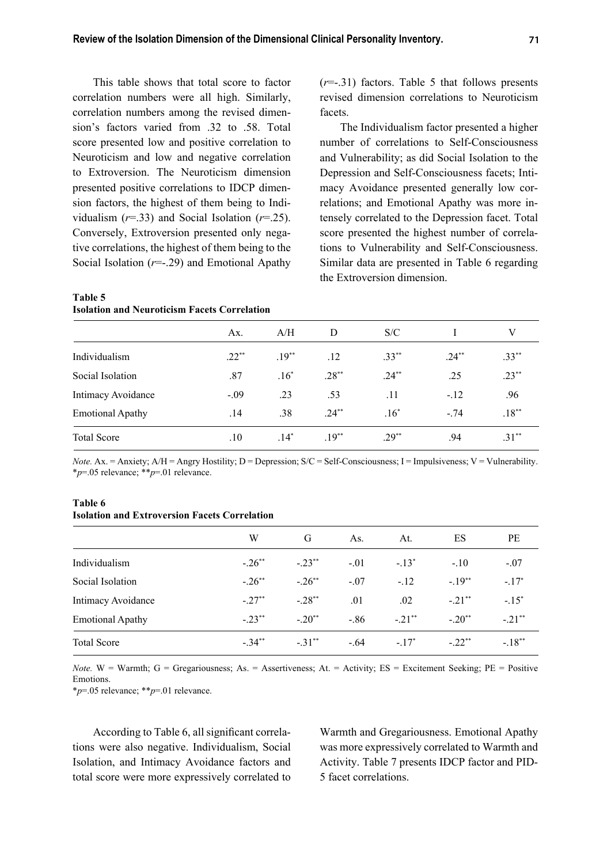This table shows that total score to factor correlation numbers were all high. Similarly, correlation numbers among the revised dimension's factors varied from .32 to .58. Total score presented low and positive correlation to Neuroticism and low and negative correlation to Extroversion. The Neuroticism dimension presented positive correlations to IDCP dimension factors, the highest of them being to Individualism  $(r=.33)$  and Social Isolation  $(r=.25)$ . Conversely, Extroversion presented only negative correlations, the highest of them being to the Social Isolation (*r*=-.29) and Emotional Apathy

### **Table 5 Isolation and Neuroticism Facets Correlation**

(*r*=-.31) factors. Table 5 that follows presents revised dimension correlations to Neuroticism facets.

The Individualism factor presented a higher number of correlations to Self-Consciousness and Vulnerability; as did Social Isolation to the Depression and Self-Consciousness facets; Intimacy Avoidance presented generally low correlations; and Emotional Apathy was more intensely correlated to the Depression facet. Total score presented the highest number of correlations to Vulnerability and Self-Consciousness. Similar data are presented in Table 6 regarding the Extroversion dimension.

|                         | Ax.     | A/H     | D        | S/C      |          | V        |  |
|-------------------------|---------|---------|----------|----------|----------|----------|--|
| Individualism           | $.22**$ | $.19**$ | .12      | $.33**$  | $.24***$ | $.33***$ |  |
| Social Isolation        | .87     | $.16^*$ | $.28***$ | $.24***$ | .25      | $.23***$ |  |
| Intimacy Avoidance      | $-.09$  | .23     | .53      | .11      | $-.12$   | .96      |  |
| <b>Emotional Apathy</b> | .14     | .38     | $.24**$  | $.16*$   | $-74$    | $.18***$ |  |
| <b>Total Score</b>      | .10     | $.14*$  | $.19**$  | $.29**$  | .94      | $.31**$  |  |

*Note.* Ax. = Anxiety;  $A/H =$  Angry Hostility;  $D =$  Depression;  $S/C =$  Self-Consciousness;  $I =$  Impulsiveness;  $V =$  Vulnerability. \**p*=.05 relevance; \*\**p*=.01 relevance.

#### **Table 6 Isolation and Extroversion Facets Correlation**

|                         | W                    | G                    | As.     | At.      | ES        | PE                   |
|-------------------------|----------------------|----------------------|---------|----------|-----------|----------------------|
| Individualism           | $-.26$ <sup>**</sup> | $-.23***$            | $-.01$  | $-.13*$  | $-.10$    | $-.07$               |
| Social Isolation        | $-.26$ <sup>**</sup> | $-.26$ <sup>**</sup> | $-.07$  | $-12$    | $-.19**$  | $-.17*$              |
| Intimacy Avoidance      | $-.27**$             | $-.28**$             | .01     | .02      | $-.21$ ** | $-.15^*$             |
| <b>Emotional Apathy</b> | $-.23$ **            | $-.20**$             | $-0.86$ | $-.21**$ | $-.20**$  | $-.21$ <sup>**</sup> |
| <b>Total Score</b>      | $-.34***$            | $-31**$              | $-.64$  | $-17^*$  | $-.22**$  | $-.18**$             |

*Note.* W = Warmth; G = Gregariousness; As. = Assertiveness; At. = Activity; ES = Excitement Seeking; PE = Positive Emotions.

\**p*=.05 relevance; \*\**p*=.01 relevance.

According to Table 6, all significant correlations were also negative. Individualism, Social Isolation, and Intimacy Avoidance factors and total score were more expressively correlated to

Warmth and Gregariousness. Emotional Apathy was more expressively correlated to Warmth and Activity. Table 7 presents IDCP factor and PID-5 facet correlations.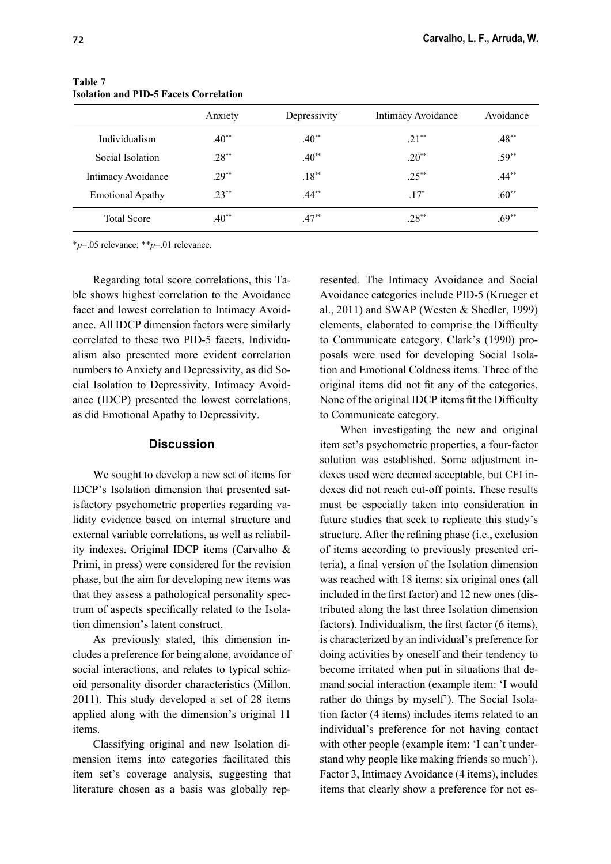|                         | Anxiety   | Depressivity | Intimacy Avoidance | Avoidance |
|-------------------------|-----------|--------------|--------------------|-----------|
| Individualism           | $40^{**}$ | $.40**$      | $21**$             | $.48**$   |
| Social Isolation        | $.28***$  | $.40**$      | $.20**$            | $.59**$   |
| Intimacy Avoidance      | $29^{**}$ | $.18***$     | $.25***$           | $.44***$  |
| <b>Emotional Apathy</b> | $.23***$  | $.44***$     | $.17*$             | $.60**$   |
| <b>Total Score</b>      | $.40**$   | $.47**$      | $.28**$            | $.69**$   |

#### **Table 7 Isolation and PID-5 Facets Correlation**

\**p*=.05 relevance; \*\**p*=.01 relevance.

Regarding total score correlations, this Table shows highest correlation to the Avoidance facet and lowest correlation to Intimacy Avoidance. All IDCP dimension factors were similarly correlated to these two PID-5 facets. Individualism also presented more evident correlation numbers to Anxiety and Depressivity, as did Social Isolation to Depressivity. Intimacy Avoidance (IDCP) presented the lowest correlations, as did Emotional Apathy to Depressivity.

### **Discussion**

We sought to develop a new set of items for IDCP's Isolation dimension that presented satisfactory psychometric properties regarding validity evidence based on internal structure and external variable correlations, as well as reliability indexes. Original IDCP items (Carvalho & Primi, in press) were considered for the revision phase, but the aim for developing new items was that they assess a pathological personality spectrum of aspects specifically related to the Isolation dimension's latent construct.

As previously stated, this dimension includes a preference for being alone, avoidance of social interactions, and relates to typical schizoid personality disorder characteristics (Millon, 2011). This study developed a set of 28 items applied along with the dimension's original 11 items.

Classifying original and new Isolation dimension items into categories facilitated this item set's coverage analysis, suggesting that literature chosen as a basis was globally represented. The Intimacy Avoidance and Social Avoidance categories include PID-5 (Krueger et al., 2011) and SWAP (Westen & Shedler, 1999) elements, elaborated to comprise the Difficulty to Communicate category. Clark's (1990) proposals were used for developing Social Isolation and Emotional Coldness items. Three of the original items did not fit any of the categories. None of the original IDCP items fit the Difficulty to Communicate category.

When investigating the new and original item set's psychometric properties, a four-factor solution was established. Some adjustment indexes used were deemed acceptable, but CFI indexes did not reach cut-off points. These results must be especially taken into consideration in future studies that seek to replicate this study's structure. After the refining phase  $(i.e., exclusion)$ of items according to previously presented criteria), a final version of the Isolation dimension was reached with 18 items: six original ones (all included in the first factor) and 12 new ones (distributed along the last three Isolation dimension factors). Individualism, the first factor  $(6 \text{ items})$ , is characterized by an individual's preference for doing activities by oneself and their tendency to become irritated when put in situations that demand social interaction (example item: 'I would rather do things by myself'). The Social Isolation factor (4 items) includes items related to an individual's preference for not having contact with other people (example item: 'I can't understand why people like making friends so much'). Factor 3, Intimacy Avoidance (4 items), includes items that clearly show a preference for not es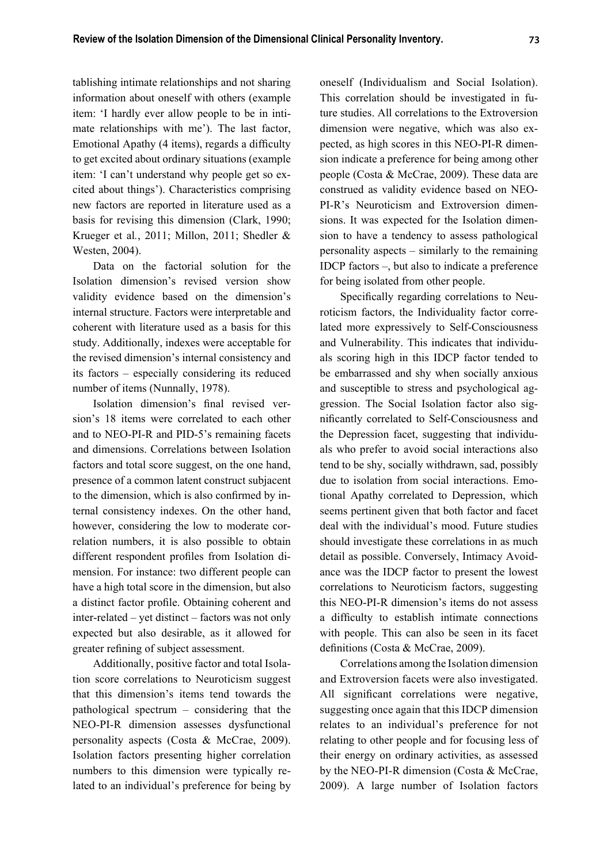tablishing intimate relationships and not sharing information about oneself with others (example item: 'I hardly ever allow people to be in intimate relationships with me'). The last factor, Emotional Apathy (4 items), regards a difficulty to get excited about ordinary situations (example item: 'I can't understand why people get so excited about things'). Characteristics comprising new factors are reported in literature used as a basis for revising this dimension (Clark, 1990; Krueger et al*.*, 2011; Millon, 2011; Shedler & Westen, 2004).

Data on the factorial solution for the Isolation dimension's revised version show validity evidence based on the dimension's internal structure. Factors were interpretable and coherent with literature used as a basis for this study. Additionally, indexes were acceptable for the revised dimension's internal consistency and its factors – especially considering its reduced number of items (Nunnally, 1978).

Isolation dimension's final revised version's 18 items were correlated to each other and to NEO-PI-R and PID-5's remaining facets and dimensions. Correlations between Isolation factors and total score suggest, on the one hand, presence of a common latent construct subjacent to the dimension, which is also confirmed by internal consistency indexes. On the other hand, however, considering the low to moderate correlation numbers, it is also possible to obtain different respondent profiles from Isolation dimension. For instance: two different people can have a high total score in the dimension, but also a distinct factor profile. Obtaining coherent and inter-related – yet distinct – factors was not only expected but also desirable, as it allowed for greater refining of subject assessment.

Additionally, positive factor and total Isolation score correlations to Neuroticism suggest that this dimension's items tend towards the pathological spectrum – considering that the NEO-PI-R dimension assesses dysfunctional personality aspects (Costa & McCrae, 2009). Isolation factors presenting higher correlation numbers to this dimension were typically related to an individual's preference for being by oneself (Individualism and Social Isolation). This correlation should be investigated in future studies. All correlations to the Extroversion dimension were negative, which was also expected, as high scores in this NEO-PI-R dimension indicate a preference for being among other people (Costa & McCrae, 2009). These data are construed as validity evidence based on NEO-PI-R's Neuroticism and Extroversion dimensions. It was expected for the Isolation dimension to have a tendency to assess pathological personality aspects – similarly to the remaining IDCP factors –, but also to indicate a preference for being isolated from other people.

Specifically regarding correlations to Neuroticism factors, the Individuality factor correlated more expressively to Self-Consciousness and Vulnerability. This indicates that individuals scoring high in this IDCP factor tended to be embarrassed and shy when socially anxious and susceptible to stress and psychological aggression. The Social Isolation factor also significantly correlated to Self-Consciousness and the Depression facet, suggesting that individuals who prefer to avoid social interactions also tend to be shy, socially withdrawn, sad, possibly due to isolation from social interactions. Emotional Apathy correlated to Depression, which seems pertinent given that both factor and facet deal with the individual's mood. Future studies should investigate these correlations in as much detail as possible. Conversely, Intimacy Avoidance was the IDCP factor to present the lowest correlations to Neuroticism factors, suggesting this NEO-PI-R dimension's items do not assess a difficulty to establish intimate connections with people. This can also be seen in its facet definitions (Costa & McCrae, 2009).

Correlations among the Isolation dimension and Extroversion facets were also investigated. All significant correlations were negative, suggesting once again that this IDCP dimension relates to an individual's preference for not relating to other people and for focusing less of their energy on ordinary activities, as assessed by the NEO-PI-R dimension (Costa & McCrae, 2009). A large number of Isolation factors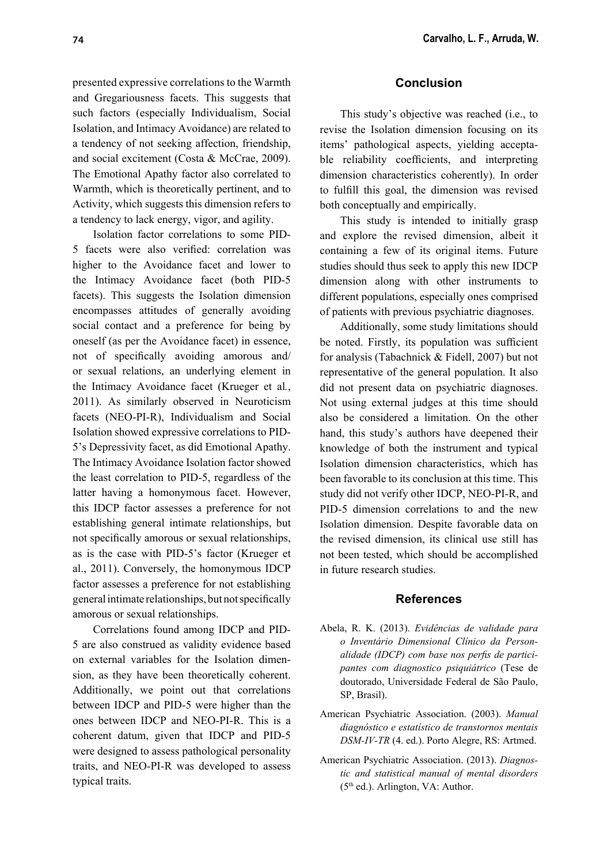presented expressive correlations to the Warmth and Gregariousness facets. This suggests that such factors (especially Individualism, Social Isolation, and Intimacy Avoidance) are related to a tendency of not seeking affection, friendship, and social excitement (Costa & McCrae, 2009). The Emotional Apathy factor also correlated to Warmth, which is theoretically pertinent, and to Activity, which suggests this dimension refers to a tendency to lack energy, vigor, and agility.

Isolation factor correlations to some PID-5 facets were also verified: correlation was higher to the Avoidance facet and lower to the Intimacy Avoidance facet (both PID-5 facets). This suggests the Isolation dimension encompasses attitudes of generally avoiding social contact and a preference for being by oneself (as per the Avoidance facet) in essence, not of specifically avoiding amorous and/ or sexual relations, an underlying element in the Intimacy Avoidance facet (Krueger et al*.*, 2011). As similarly observed in Neuroticism facets (NEO-PI-R), Individualism and Social Isolation showed expressive correlations to PID-5's Depressivity facet, as did Emotional Apathy. The Intimacy Avoidance Isolation factor showed the least correlation to PID-5, regardless of the latter having a homonymous facet. However, this IDCP factor assesses a preference for not establishing general intimate relationships, but not specifically amorous or sexual relationships, as is the case with PID-5's factor (Krueger et al., 2011). Conversely, the homonymous IDCP factor assesses a preference for not establishing general intimate relationships, but not specifically amorous or sexual relationships.

Correlations found among IDCP and PID-5 are also construed as validity evidence based on external variables for the Isolation dimension, as they have been theoretically coherent. Additionally, we point out that correlations between IDCP and PID-5 were higher than the ones between IDCP and NEO-PI-R. This is a coherent datum, given that IDCP and PID-5 were designed to assess pathological personality traits, and NEO-PI-R was developed to assess typical traits.

## **Conclusion**

This study's objective was reached (i.e., to revise the Isolation dimension focusing on its items' pathological aspects, yielding acceptable reliability coefficients, and interpreting dimension characteristics coherently). In order to fulfill this goal, the dimension was revised both conceptually and empirically.

This study is intended to initially grasp and explore the revised dimension, albeit it containing a few of its original items. Future studies should thus seek to apply this new IDCP dimension along with other instruments to different populations, especially ones comprised of patients with previous psychiatric diagnoses.

Additionally, some study limitations should be noted. Firstly, its population was sufficient for analysis (Tabachnick & Fidell, 2007) but not representative of the general population. It also did not present data on psychiatric diagnoses. Not using external judges at this time should also be considered a limitation. On the other hand, this study's authors have deepened their knowledge of both the instrument and typical Isolation dimension characteristics, which has been favorable to its conclusion at this time. This study did not verify other IDCP, NEO-PI-R, and PID-5 dimension correlations to and the new Isolation dimension. Despite favorable data on the revised dimension, its clinical use still has not been tested, which should be accomplished in future research studies.

### **References**

- Abela, R. K. (2013). *Evidências de validade para o Inventário Dimensional Clínico da Person*alidade (IDCP) com base nos perfis de partici*pantes com diagnostico psiquiátrico* (Tese de doutorado, Universidade Federal de São Paulo, SP, Brasil).
- American Psychiatric Association. (2003). *Manual diagnóstico e estatístico de transtornos mentais DSM-IV-TR* (4. ed.). Porto Alegre, RS: Artmed.
- American Psychiatric Association. (2013). *Diagnostic and statistical manual of mental disorders* (5th ed.). Arlington, VA: Author.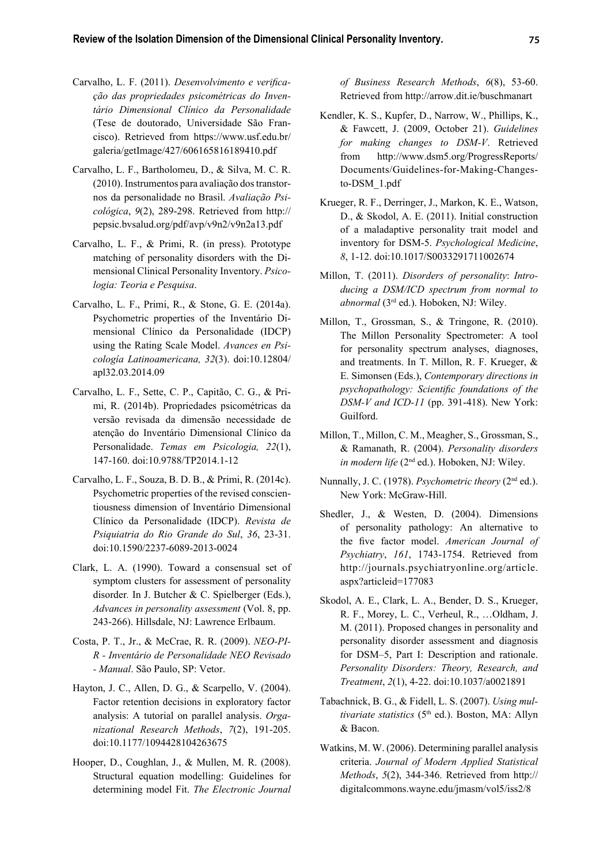- Carvalho, L. F. (2011). *Desenvolvimento e verificação das propriedades psicométricas do Inventário Dimensional Clínico da Personalidade* (Tese de doutorado, Universidade São Francisco). Retrieved from https://www.usf.edu.br/ galeria/getImage/427/606165816189410.pdf
- Carvalho, L. F., Bartholomeu, D., & Silva, M. C. R. (2010). Instrumentos para avaliação dos transtornos da personalidade no Brasil. *Avaliação Psicológica*, *9*(2), 289-298. Retrieved from http:// pepsic.bvsalud.org/pdf/avp/v9n2/v9n2a13.pdf
- Carvalho, L. F., & Primi, R. (in press). Prototype matching of personality disorders with the Dimensional Clinical Personality Inventory. *Psicologia: Teoria e Pesquisa*.
- Carvalho, L. F., Primi, R., & Stone, G. E. (2014a). Psychometric properties of the Inventário Dimensional Clínico da Personalidade (IDCP) using the Rating Scale Model. *Avances en Psicología Latinoamericana, 32*(3). doi:10.12804/ apl32.03.2014.09
- Carvalho, L. F., Sette, C. P., Capitão, C. G., & Primi, R. (2014b). Propriedades psicométricas da versão revisada da dimensão necessidade de atenção do Inventário Dimensional Clínico da Personalidade. *Temas em Psicologia, 22*(1), 147-160. doi:10.9788/TP2014.1-12
- Carvalho, L. F., Souza, B. D. B., & Primi, R. (2014c). Psychometric properties of the revised conscientiousness dimension of Inventário Dimensional Clínico da Personalidade (IDCP). *Revista de Psiquiatria do Rio Grande do Sul*, *36*, 23-31. doi:10.1590/2237-6089-2013-0024
- Clark, L. A. (1990). Toward a consensual set of symptom clusters for assessment of personality disorder*.* In J. Butcher & C. Spielberger (Eds.), *Advances in personality assessment* (Vol. 8, pp. 243-266). Hillsdale, NJ: Lawrence Erlbaum.
- Costa, P. T., Jr., & McCrae, R. R. (2009). *NEO-PI-R - Inventário de Personalidade NEO Revisado - Manual*. São Paulo, SP: Vetor.
- Hayton, J. C., Allen, D. G., & Scarpello, V. (2004). Factor retention decisions in exploratory factor analysis: A tutorial on parallel analysis. *Organizational Research Methods*, *7*(2), 191-205. doi:10.1177/1094428104263675
- Hooper, D., Coughlan, J., & Mullen, M. R. (2008). Structural equation modelling: Guidelines for determining model Fit. *The Electronic Journal*

*of Business Research Methods*, *6*(8), 53-60. Retrieved from http://arrow.dit.ie/buschmanart

- Kendler, K. S., Kupfer, D., Narrow, W., Phillips, K., & Fawcett, J. (2009, October 21). *Guidelines for making changes to DSM-V*. Retrieved from http://www.dsm5.org/ProgressReports/ Documents/Guidelines-for-Making-Changesto-DSM\_1.pdf
- Krueger, R. F., Derringer, J., Markon, K. E., Watson, D., & Skodol, A. E. (2011). Initial construction of a maladaptive personality trait model and inventory for DSM-5. *Psychological Medicine*, *8*, 1-12. doi:10.1017/S0033291711002674
- Millon, T. (2011). *Disorders of personality*: *Introducing a DSM/ICD spectrum from normal to abnormal* (3rd ed.). Hoboken, NJ: Wiley.
- Millon, T., Grossman, S., & Tringone, R. (2010). The Millon Personality Spectrometer: A tool for personality spectrum analyses, diagnoses, and treatments. In T. Millon, R. F. Krueger, & E. Simonsen (Eds.), *Contemporary directions in psychopathology: Scientific foundations of the DSM-V and ICD-11* (pp. 391-418). New York: Guilford.
- Millon, T., Millon, C. M., Meagher, S., Grossman, S., & Ramanath, R. (2004). *Personality disorders in modern life* (2<sup>nd</sup> ed.). Hoboken, NJ: Wiley.
- Nunnally, J. C. (1978). *Psychometric theory* (2nd ed.). New York: McGraw-Hill.
- Shedler, J., & Westen, D. (2004). Dimensions of personality pathology: An alternative to the five factor model. *American Journal of Psychiatry*, *161*, 1743-1754. Retrieved from http://journals.psychiatryonline.org/article. aspx?articleid=177083
- Skodol, A. E., Clark, L. A., Bender, D. S., Krueger, R. F., Morey, L. C., Verheul, R., …Oldham, J. M. (2011). Proposed changes in personality and personality disorder assessment and diagnosis for DSM–5, Part I: Description and rationale. *Personality Disorders: Theory, Research, and Treatment*, *2*(1), 4-22. doi:10.1037/a0021891
- Tabachnick, B. G., & Fidell, L. S. (2007). *Using multivariate statistics* (5<sup>th</sup> ed.). Boston, MA: Allyn & Bacon.
- Watkins, M. W. (2006). Determining parallel analysis criteria. *Journal of Modern Applied Statistical Methods*, *5*(2), 344-346. Retrieved from http:// digitalcommons.wayne.edu/jmasm/vol5/iss2/8